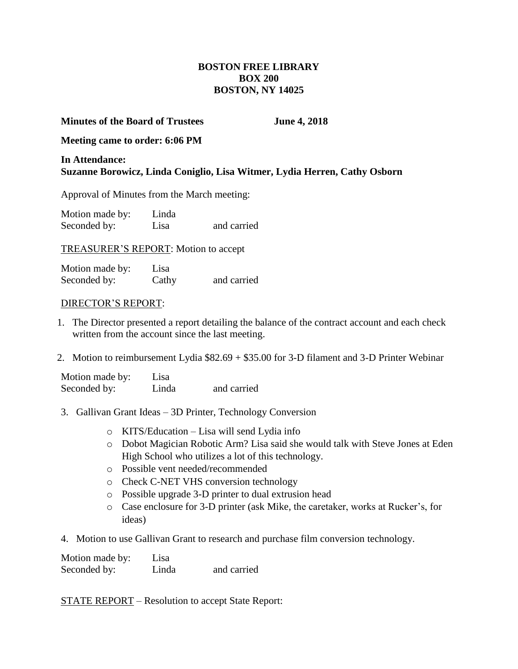# **BOSTON FREE LIBRARY BOX 200 BOSTON, NY 14025**

## **Minutes of the Board of Trustees June 4, 2018**

## **Meeting came to order: 6:06 PM**

# **In Attendance: Suzanne Borowicz, Linda Coniglio, Lisa Witmer, Lydia Herren, Cathy Osborn**

Approval of Minutes from the March meeting:

Motion made by: Linda Seconded by: Lisa and carried

TREASURER'S REPORT: Motion to accept

Motion made by: Lisa Seconded by: Cathy and carried

#### DIRECTOR'S REPORT:

- 1. The Director presented a report detailing the balance of the contract account and each check written from the account since the last meeting.
- 2. Motion to reimbursement Lydia \$82.69 + \$35.00 for 3-D filament and 3-D Printer Webinar

Motion made by: Lisa Seconded by: Linda and carried

- 3. Gallivan Grant Ideas 3D Printer, Technology Conversion
	- o KITS/Education Lisa will send Lydia info
	- o Dobot Magician Robotic Arm? Lisa said she would talk with Steve Jones at Eden High School who utilizes a lot of this technology.
	- o Possible vent needed/recommended
	- o Check C-NET VHS conversion technology
	- o Possible upgrade 3-D printer to dual extrusion head
	- o Case enclosure for 3-D printer (ask Mike, the caretaker, works at Rucker's, for ideas)
- 4. Motion to use Gallivan Grant to research and purchase film conversion technology.

Motion made by: Lisa Seconded by: Linda and carried

STATE REPORT – Resolution to accept State Report: